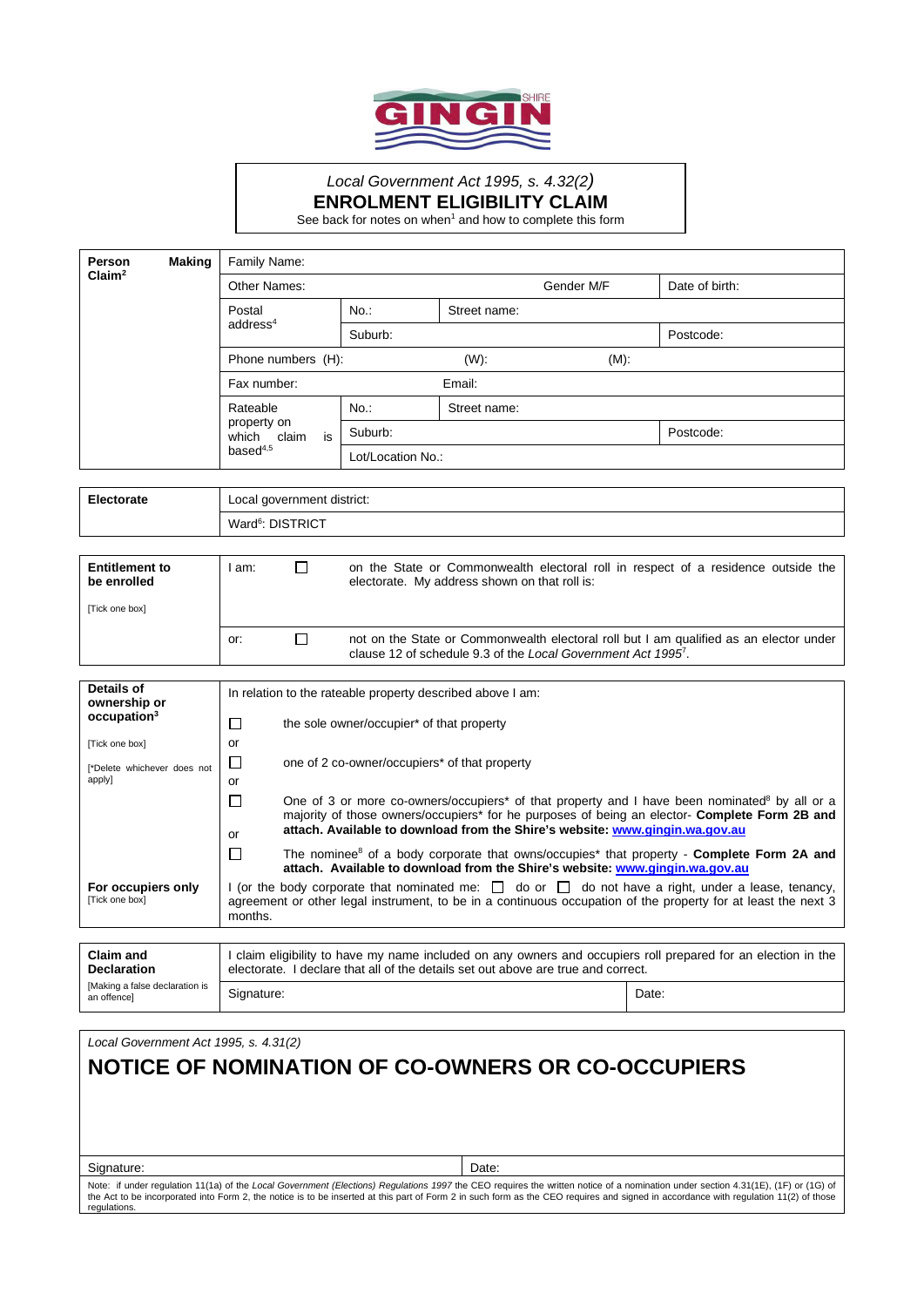

## *Local Government Act 1995, s. 4.32(2)* **ENROLMENT ELIGIBILITY CLAIM**

See back for notes on when<sup>1</sup> and how to complete this form

| Person<br>Claim <sup>2</sup> | <b>Making</b> | Family Name:                                                      |                   |              |            |                |  |
|------------------------------|---------------|-------------------------------------------------------------------|-------------------|--------------|------------|----------------|--|
|                              |               | Other Names:                                                      |                   |              | Gender M/F | Date of birth: |  |
|                              |               | Postal<br>address <sup>4</sup>                                    | $No.$ :           | Street name: |            |                |  |
|                              |               |                                                                   | Suburb:           |              |            | Postcode:      |  |
|                              |               | Phone numbers (H):                                                |                   | $(W)$ :      | $(M)$ :    |                |  |
|                              |               | Fax number:                                                       |                   | Email:       |            |                |  |
|                              |               | Rateable<br>property on<br>is<br>claim<br>which<br>base $d^{4,5}$ | No.               | Street name: |            |                |  |
|                              |               |                                                                   | Suburb:           |              |            | Postcode:      |  |
|                              |               |                                                                   | Lot/Location No.: |              |            |                |  |

| <b>Electorate</b> | Local government district:   |
|-------------------|------------------------------|
|                   | Ward <sup>6</sup> : DISTRICT |
|                   |                              |

| <b>Entitlement to</b><br>be enrolled | am: | on the State or Commonwealth electoral roll in respect of a residence outside the<br>electorate. My address shown on that roll is:                                  |
|--------------------------------------|-----|---------------------------------------------------------------------------------------------------------------------------------------------------------------------|
| [Tick one box]                       |     |                                                                                                                                                                     |
|                                      | or: | not on the State or Commonwealth electoral roll but I am qualified as an elector under<br>clause 12 of schedule 9.3 of the Local Government Act 1995 <sup>7</sup> . |

| Details of<br>ownership or           | In relation to the rateable property described above I am:                                                                                                                                                                               |                                                                                                                                                                                                                                                                                                               |  |  |
|--------------------------------------|------------------------------------------------------------------------------------------------------------------------------------------------------------------------------------------------------------------------------------------|---------------------------------------------------------------------------------------------------------------------------------------------------------------------------------------------------------------------------------------------------------------------------------------------------------------|--|--|
| occupation <sup>3</sup>              |                                                                                                                                                                                                                                          | the sole owner/occupier* of that property                                                                                                                                                                                                                                                                     |  |  |
| [Tick one box]                       | or                                                                                                                                                                                                                                       |                                                                                                                                                                                                                                                                                                               |  |  |
| [*Delete whichever does not          |                                                                                                                                                                                                                                          | one of 2 co-owner/occupiers* of that property                                                                                                                                                                                                                                                                 |  |  |
| apply]                               | or                                                                                                                                                                                                                                       |                                                                                                                                                                                                                                                                                                               |  |  |
|                                      | or                                                                                                                                                                                                                                       | One of 3 or more co-owners/occupiers <sup>*</sup> of that property and I have been nominated <sup>8</sup> by all or a<br>majority of those owners/occupiers* for he purposes of being an elector- <b>Complete Form 2B and</b><br>attach. Available to download from the Shire's website: www.gingin.wa.gov.au |  |  |
|                                      |                                                                                                                                                                                                                                          | The nominee <sup>8</sup> of a body corporate that owns/occupies <sup>*</sup> that property - <b>Complete Form 2A and</b><br>attach. Available to download from the Shire's website: www.gingin.wa.gov.au                                                                                                      |  |  |
| For occupiers only<br>[Tick one box] | I (or the body corporate that nominated me: $\Box$ do or $\Box$ do not have a right, under a lease, tenancy,<br>agreement or other legal instrument, to be in a continuous occupation of the property for at least the next 3<br>months. |                                                                                                                                                                                                                                                                                                               |  |  |

| <b>Claim and</b><br><b>Declaration</b><br>[Making a false declaration is<br>an offencel | I claim eligibility to have my name included on any owners and occupiers roll prepared for an election in the<br>electorate. I declare that all of the details set out above are true and correct. |       |  |  |
|-----------------------------------------------------------------------------------------|----------------------------------------------------------------------------------------------------------------------------------------------------------------------------------------------------|-------|--|--|
|                                                                                         | Signature:                                                                                                                                                                                         | Date: |  |  |

*Local Government Act 1995, s. 4.31(2)*

## **NOTICE OF NOMINATION OF CO-OWNERS OR CO-OCCUPIERS**

Signature: Date: Date: Date: Date: Date: Date: Date: Date: Date: Date: Date: Date: Date: Date: Date: Date: Date: Date: Date: Date: Date: Date: Date: Date: Date: Date: Date: Date: Date: Date: Date: Date: Date: Date: Date: D

Note: if under regulation 11(1a) of the *Local Government (Elections) Regulations 1997* the CEO requires the written notice of a nomination under section 4.31(1E), (1F) or (1G) of<br>the Act to be incorporated into Form 2, th regulations.